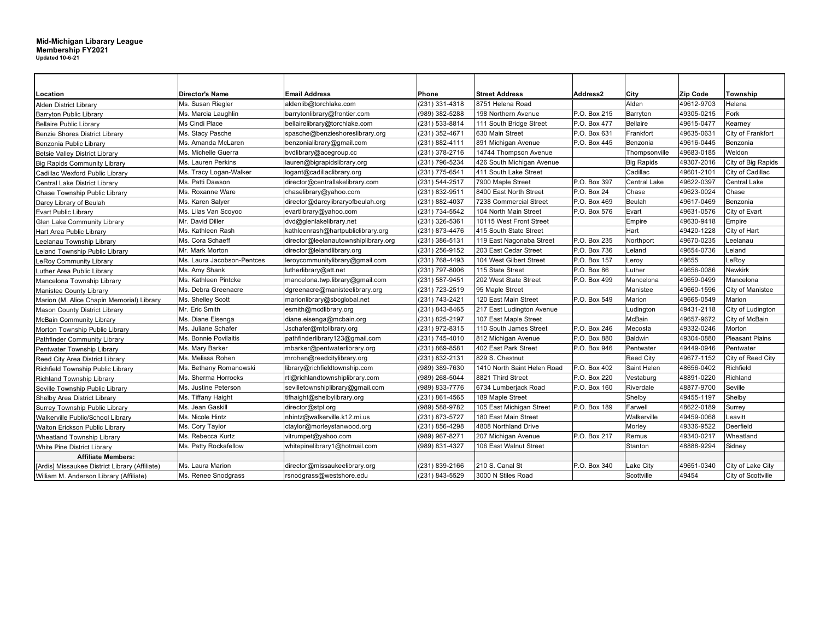## **Mid-Michigan Libarary League Membership FY2021 Updated 10-6-21**

| Location                                       | <b>Director's Name</b>     | <b>Email Address</b>                 | Phone          | <b>Street Address</b>                          | Address2     | City              | <b>Zip Code</b> | Township               |
|------------------------------------------------|----------------------------|--------------------------------------|----------------|------------------------------------------------|--------------|-------------------|-----------------|------------------------|
| <b>Alden District Library</b>                  | Ms. Susan Riegler          | aldenlib@torchlake.com               | (231) 331-4318 | 8751 Helena Road                               |              | Alden             | 49612-9703      | Helena                 |
| <b>Barryton Public Library</b>                 | Ms. Marcia Laughlin        | barrytonlibrary@frontier.com         | 989) 382-5288  | 198 Northern Avenue                            | P.O. Box 215 | Barryton          | 49305-0215      | Fork                   |
| <b>Bellaire Public Library</b>                 | Ms Cindi Place             | bellairelibrary@torchlake.com        | (231) 533-8814 | 111 South Bridge Street                        | P.O. Box 477 | <b>Bellaire</b>   | 49615-0477      | Kearney                |
| <b>Benzie Shores District Library</b>          | Ms. Stacy Pasche           | spasche@benzieshoreslibrary.org      | (231) 352-4671 | 630 Main Street                                | P.O. Box 631 | Frankfort         | 49635-0631      | City of Frankfort      |
| Benzonia Public Library                        | Ms. Amanda McLaren         | benzonialibrary@gmail.com            | (231) 882-4111 | 891 Michigan Avenue                            | P.O. Box 445 | Benzonia          | 49616-0445      | Benzonia               |
| <b>Betsie Valley District Library</b>          | Ms. Michelle Guerra        | bvdlibrary@acegroup.cc               | (231) 378-2716 | 14744 Thompson Avenue                          |              | Thompsonville     | 49683-0185      | Weldon                 |
| <b>Big Rapids Community Library</b>            | Ms. Lauren Perkins         | lauren@bigrapidslibrary.org          | (231) 796-5234 | 426 South Michigan Avenue                      |              | <b>Big Rapids</b> | 49307-2016      | City of Big Rapids     |
| Cadillac Wexford Public Library                | Ms. Tracy Logan-Walker     | logant@cadillaclibrary.org           | (231) 775-6541 | 411 South Lake Street                          |              | Cadillac          | 49601-2101      | City of Cadillac       |
| Central Lake District Library                  | Ms. Patti Dawson           | director@centrallakelibrary.com      | (231) 544-2517 | 7900 Maple Street<br>P.O. Box 397              |              | Central Lake      | 49622-0397      | <b>Central Lake</b>    |
| Chase Township Public Library                  | Ms. Roxanne Ware           | chaselibrary@yahoo.com               | (231) 832-9511 | 8400 East North Street<br>P.O. Box 24<br>Chase |              |                   | 49623-0024      | Chase                  |
| Darcy Library of Beulah                        | Ms. Karen Salyer           | director@darcylibraryofbeulah.org    | (231) 882-4037 | 7238 Commercial Street                         | P.O. Box 469 | Beulah            | 49617-0469      | Benzonia               |
| <b>Evart Public Library</b>                    | Ms. Lilas Van Scoyoc       | evartlibrary@yahoo.com               | (231) 734-5542 | 104 North Main Street                          | P.O. Box 576 | Evart             | 49631-0576      | City of Evart          |
| Glen Lake Community Library                    | Mr. David Diller           | dvd@glenlakelibrary.net              | (231) 326-5361 | 10115 West Front Street                        |              | Empire            | 49630-9418      | Empire                 |
| Hart Area Public Library                       | Ms. Kathleen Rash          | kathleenrash@hartpubliclibrary.org   | (231) 873-4476 | 415 South State Street                         |              | Hart              | 49420-1228      | City of Hart           |
| Leelanau Township Library                      | Ms. Cora Schaeff           | director@leelanautownshiplibrary.org | (231) 386-5131 | 119 East Nagonaba Street                       | P.O. Box 235 | Northport         | 49670-0235      | Leelanau               |
| Leland Township Public Library                 | Mr. Mark Morton            | director@lelandlibrary.org           | (231) 256-9152 | 203 East Cedar Street                          | P.O. Box 736 | Leland            | 49654-0736      | Leland                 |
| LeRoy Community Library                        | Ms. Laura Jacobson-Pentces | leroycommunitylibrary@gmail.com      | (231) 768-4493 | 104 West Gilbert Street                        | P.O. Box 157 | Leroy             | 49655           | LeRoy                  |
| Luther Area Public Library                     | Ms. Amy Shank              | lutherlibrary@att.net                | (231) 797-8006 | 115 State Street                               | P.O. Box 86  | Luther            | 49656-0086      | <b>Newkirk</b>         |
| Mancelona Township Library                     | Ms. Kathleen Pintcke       | mancelona.twp.library@gmail.com      | (231) 587-9451 | 202 West State Street                          | P.O. Box 499 | Mancelona         | 49659-0499      | Mancelona              |
| <b>Manistee County Library</b>                 | Ms. Debra Greenacre        | dgreenacre@manisteelibrary.org       | (231) 723-2519 | 95 Maple Street                                |              | Manistee          | 49660-1596      | City of Manistee       |
| Marion (M. Alice Chapin Memorial) Library      | Ms. Shelley Scott          | marionlibrary@sbcglobal.net          | (231) 743-2421 | 120 East Main Street                           | P.O. Box 549 | Marion            | 49665-0549      | Marion                 |
| <b>Mason County District Library</b>           | Mr. Eric Smith             | esmith@mcdlibrary.org                | (231) 843-8465 | 217 East Ludington Avenue                      |              | Ludington         | 49431-2118      | City of Ludington      |
| <b>McBain Community Library</b>                | Ms. Diane Eisenga          | diane.eisenga@mcbain.org             | (231) 825-2197 | 107 East Maple Street                          |              | McBain            | 49657-9672      | City of McBain         |
| Morton Township Public Library                 | Ms. Juliane Schafer        | Jschafer@mtplibrary.org              | (231) 972-8315 | 110 South James Street                         | P.O. Box 246 | Mecosta           | 49332-0246      | Morton                 |
| Pathfinder Community Library                   | Ms. Bonnie Povilaitis      | pathfinderlibrary123@gmail.com       | (231) 745-4010 | 812 Michigan Avenue                            | P.O. Box 880 | Baldwin           | 49304-0880      | <b>Pleasant Plains</b> |
| Pentwater Township Library                     | Ms. Mary Barker            | mbarker@pentwaterlibrary.org         | (231) 869-8581 | 402 East Park Street                           | P.O. Box 946 | Pentwater         | 49449-0946      | Pentwater              |
| Reed City Area District Library                | Ms. Melissa Rohen          | mrohen@reedcitylibrary.org           | (231) 832-2131 | 829 S. Chestnut                                |              | <b>Reed City</b>  | 49677-1152      | City of Reed City      |
| Richfield Township Public Library              | Ms. Bethany Romanowski     | library@richfieldtownship.com        | (989) 389-7630 | 1410 North Saint Helen Road                    | P.O. Box 402 | Saint Helen       | 48656-0402      | Richfield              |
| <b>Richland Township Library</b>               | Ms. Sherma Horrocks        | rtl@richlandtownshiplibrary.com      | (989) 268-5044 | 8821 Third Street                              | P.O. Box 220 | Vestaburg         | 48891-0220      | Richland               |
| Seville Township Public Library                | Ms. Justine Peterson       | sevilletownshiplibrary@gmail.com     | (989) 833-7776 | 6734 Lumberjack Road                           | P.O. Box 160 | Riverdale         | 48877-9700      | Seville                |
| Shelby Area District Library                   | Ms. Tiffany Haight         | tifhaight@shelbylibrary.org          | (231) 861-4565 | 189 Maple Street                               |              | Shelby            | 49455-1197      | Shelby                 |
| Surrey Township Public Library                 | Ms. Jean Gaskill           | director@stpl.org                    | (989) 588-9782 | 105 East Michigan Street                       | P.O. Box 189 | Farwell           | 48622-0189      | Surrey                 |
| Walkerville Public/School Library              | Ms. Nicole Hintz           | nhintz@walkerville.k12.mi.us         | (231) 873-5727 | 180 East Main Street                           |              | Walkerville       | 49459-0068      | Leavitt                |
| Walton Erickson Public Library                 | Ms. Cory Taylor            | ctaylor@morleystanwood.org           | (231) 856-4298 | 4808 Northland Drive                           |              | Morley            | 49336-9522      | Deerfield              |
| Wheatland Township Library                     | Ms. Rebecca Kurtz          | vitrumpet@yahoo.com                  | (989) 967-8271 | 207 Michigan Avenue                            | P.O. Box 217 | Remus             | 49340-0217      | Wheatland              |
| <b>White Pine District Library</b>             | Ms. Patty Rockafellow      | whitepinelibrary1@hotmail.com        | (989) 831-4327 | 106 East Walnut Street                         |              | Stanton           | 48888-9294      | Sidney                 |
| <b>Affiliate Members:</b>                      |                            |                                      |                |                                                |              |                   |                 |                        |
| [Ardis] Missaukee District Library (Affiliate) | Ms. Laura Marion           | director@missaukeelibrary.org        | (231) 839-2166 | 210 S. Canal St                                | P.O. Box 340 | Lake City         | 49651-0340      | City of Lake City      |
| William M. Anderson Library (Affiliate)        | Ms. Renee Snodgrass        | rsnodgrass@westshore.edu             | (231) 843-5529 | 3000 N Stiles Road                             |              | Scottville        | 49454           | City of Scottville     |